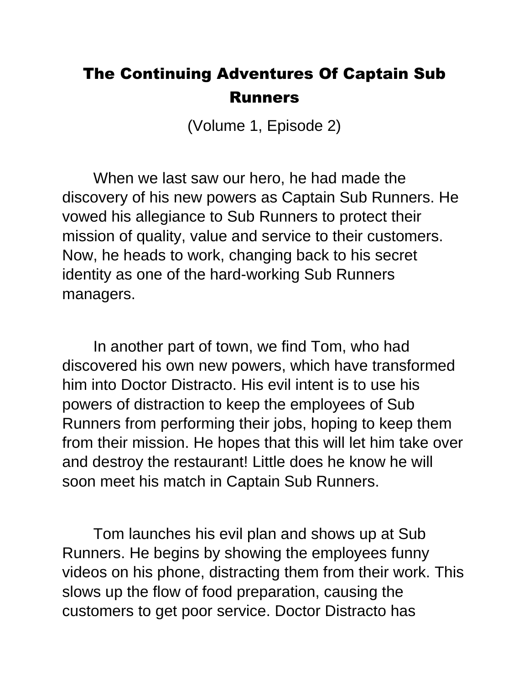## The Continuing Adventures Of Captain Sub Runners

(Volume 1, Episode 2)

When we last saw our hero, he had made the discovery of his new powers as Captain Sub Runners. He vowed his allegiance to Sub Runners to protect their mission of quality, value and service to their customers. Now, he heads to work, changing back to his secret identity as one of the hard-working Sub Runners managers.

In another part of town, we find Tom, who had discovered his own new powers, which have transformed him into Doctor Distracto. His evil intent is to use his powers of distraction to keep the employees of Sub Runners from performing their jobs, hoping to keep them from their mission. He hopes that this will let him take over and destroy the restaurant! Little does he know he will soon meet his match in Captain Sub Runners.

Tom launches his evil plan and shows up at Sub Runners. He begins by showing the employees funny videos on his phone, distracting them from their work. This slows up the flow of food preparation, causing the customers to get poor service. Doctor Distracto has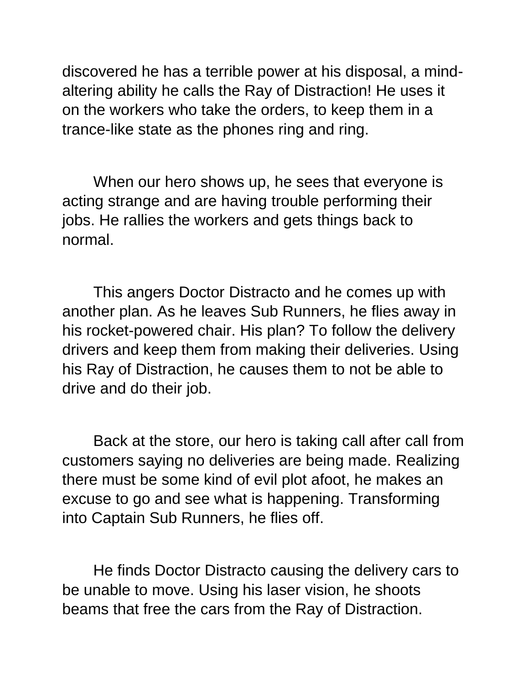discovered he has a terrible power at his disposal, a mindaltering ability he calls the Ray of Distraction! He uses it on the workers who take the orders, to keep them in a trance-like state as the phones ring and ring.

When our hero shows up, he sees that everyone is acting strange and are having trouble performing their jobs. He rallies the workers and gets things back to normal.

This angers Doctor Distracto and he comes up with another plan. As he leaves Sub Runners, he flies away in his rocket-powered chair. His plan? To follow the delivery drivers and keep them from making their deliveries. Using his Ray of Distraction, he causes them to not be able to drive and do their job.

Back at the store, our hero is taking call after call from customers saying no deliveries are being made. Realizing there must be some kind of evil plot afoot, he makes an excuse to go and see what is happening. Transforming into Captain Sub Runners, he flies off.

He finds Doctor Distracto causing the delivery cars to be unable to move. Using his laser vision, he shoots beams that free the cars from the Ray of Distraction.